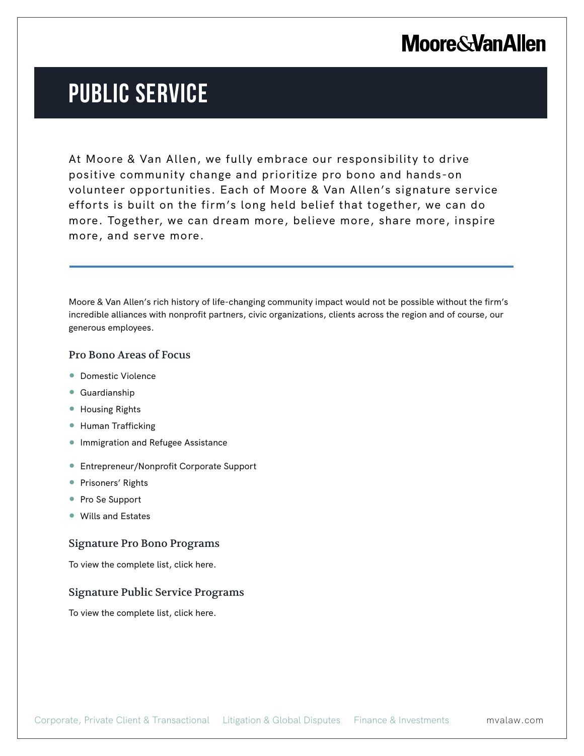## **Moore & Van Allen**

# **PUBLIC SERVICE**

At Moore & Van Allen, we fully embrace our responsibility to drive positive community change and prioritize pro bono and hands-on volunteer opportunities. Each of Moore & Van Allen's signature service efforts is built on the firm's long held belief that together, we can do more. Together, we can dream more, believe more, share more, inspire more, and serve more.

Moore & Van Allen's rich history of life-changing community impact would not be possible without the firm's incredible alliances with nonprofit partners, civic organizations, clients across the region and of course, our generous employees.

### Pro Bono Areas of Focus

- Domestic Violence
- Guardianship

l.

- Housing Rights
- Human Trafficking
- **Immigration and Refugee Assistance**
- Entrepreneur/Nonprofit Corporate Support
- Prisoners' Rights
- Pro Se Support
- Wills and Estates

#### Signature Pro Bono Programs

To view the complete list, click here.

#### Signature Public Service Programs

To view the complete list, click here.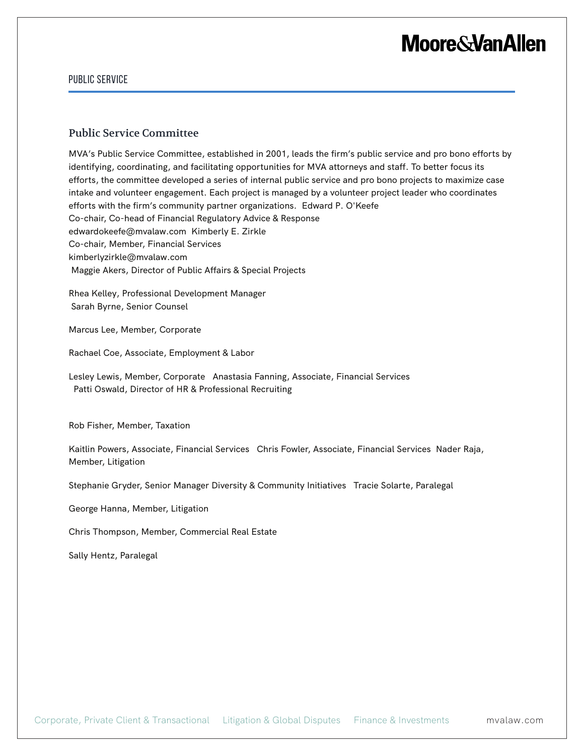## **Moore & Van Allen**

#### PUBLIC SERVICE

#### Public Service Committee

MVA's Public Service Committee, established in 2001, leads the firm's public service and pro bono efforts by identifying, coordinating, and facilitating opportunities for MVA attorneys and staff. To better focus its efforts, the committee developed a series of internal public service and pro bono projects to maximize case intake and volunteer engagement. Each project is managed by a volunteer project leader who coordinates efforts with the firm's community partner organizations. Edward P. O'Keefe Co-chair, Co-head of Financial Regulatory Advice & Response edwardokeefe@mvalaw.com Kimberly E. Zirkle Co-chair, Member, Financial Services kimberlyzirkle@mvalaw.com Maggie Akers, Director of Public Affairs & Special Projects

Rhea Kelley, Professional Development Manager Sarah Byrne, Senior Counsel

Marcus Lee, Member, Corporate

Rachael Coe, Associate, Employment & Labor

Lesley Lewis, Member, Corporate Anastasia Fanning, Associate, Financial Services Patti Oswald, Director of HR & Professional Recruiting

Rob Fisher, Member, Taxation

Kaitlin Powers, Associate, Financial Services Chris Fowler, Associate, Financial Services Nader Raja, Member, Litigation

Stephanie Gryder, Senior Manager Diversity & Community Initiatives Tracie Solarte, Paralegal

George Hanna, Member, Litigation

Chris Thompson, Member, Commercial Real Estate

Sally Hentz, Paralegal